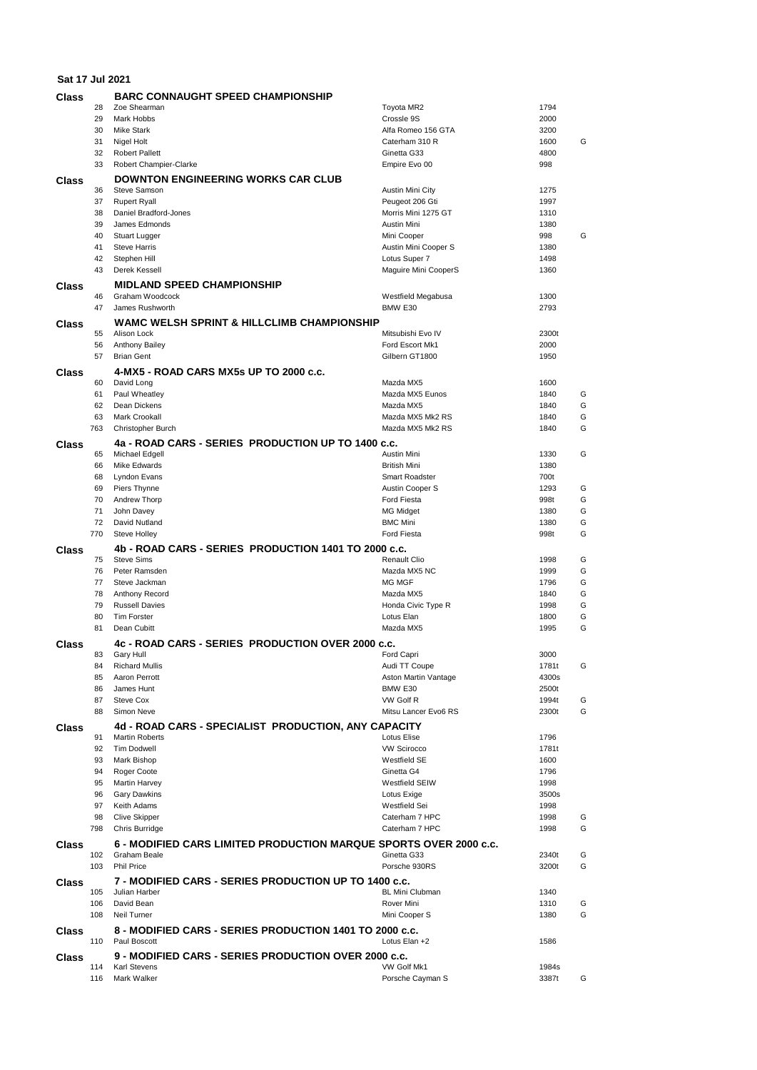| Sat 17 Jul 2021 |                                                      |                                                                   |                                           |              |        |  |  |  |
|-----------------|------------------------------------------------------|-------------------------------------------------------------------|-------------------------------------------|--------------|--------|--|--|--|
| Class           |                                                      | <b>BARC CONNAUGHT SPEED CHAMPIONSHIP</b>                          |                                           |              |        |  |  |  |
|                 | 28                                                   | Zoe Shearman                                                      | Toyota MR2                                | 1794         |        |  |  |  |
|                 | 29                                                   | <b>Mark Hobbs</b>                                                 | Crossle 9S                                | 2000         |        |  |  |  |
|                 | 30                                                   | Mike Stark                                                        | Alfa Romeo 156 GTA                        | 3200         |        |  |  |  |
|                 | 31                                                   | Nigel Holt                                                        | Caterham 310 R                            | 1600         | G      |  |  |  |
|                 | 32                                                   | <b>Robert Pallett</b>                                             | Ginetta G33                               | 4800         |        |  |  |  |
|                 | 33                                                   | Robert Champier-Clarke                                            | Empire Evo 00                             | 998          |        |  |  |  |
| Class           |                                                      | <b>DOWNTON ENGINEERING WORKS CAR CLUB</b>                         |                                           |              |        |  |  |  |
|                 | 36                                                   | <b>Steve Samson</b>                                               | Austin Mini City                          | 1275         |        |  |  |  |
|                 | 37                                                   | <b>Rupert Ryall</b>                                               | Peugeot 206 Gti                           | 1997         |        |  |  |  |
|                 | 38<br>39                                             | Daniel Bradford-Jones                                             | Morris Mini 1275 GT<br>Austin Mini        | 1310         |        |  |  |  |
|                 | 40                                                   | James Edmonds<br>Stuart Lugger                                    | Mini Cooper                               | 1380<br>998  | G      |  |  |  |
|                 | 41                                                   | <b>Steve Harris</b>                                               | Austin Mini Cooper S                      | 1380         |        |  |  |  |
|                 | 42                                                   | Stephen Hill                                                      | Lotus Super 7                             | 1498         |        |  |  |  |
|                 | 43                                                   | Derek Kessell                                                     | Maguire Mini CooperS                      | 1360         |        |  |  |  |
| Class           |                                                      | <b>MIDLAND SPEED CHAMPIONSHIP</b>                                 |                                           |              |        |  |  |  |
|                 | 46                                                   | Graham Woodcock                                                   | Westfield Megabusa                        | 1300         |        |  |  |  |
|                 | 47                                                   | James Rushworth                                                   | BMW E30                                   | 2793         |        |  |  |  |
| Class           |                                                      | WAMC WELSH SPRINT & HILLCLIMB CHAMPIONSHIP                        |                                           |              |        |  |  |  |
|                 | 55                                                   | Alison Lock                                                       | Mitsubishi Evo IV                         | 2300t        |        |  |  |  |
|                 | 56                                                   | Anthony Bailey                                                    | Ford Escort Mk1                           | 2000         |        |  |  |  |
|                 | 57                                                   | <b>Brian Gent</b>                                                 | Gilbern GT1800                            | 1950         |        |  |  |  |
| Class           |                                                      | 4-MX5 - ROAD CARS MX5s UP TO 2000 c.c.                            |                                           |              |        |  |  |  |
|                 | 60                                                   | David Long                                                        | Mazda MX5                                 | 1600         |        |  |  |  |
|                 | 61                                                   | Paul Wheatley                                                     | Mazda MX5 Eunos                           | 1840         | G      |  |  |  |
|                 | 62                                                   | Dean Dickens                                                      | Mazda MX5                                 | 1840         | G      |  |  |  |
|                 | 63                                                   | Mark Crookall                                                     | Mazda MX5 Mk2 RS                          | 1840         | G      |  |  |  |
|                 | 763                                                  | <b>Christopher Burch</b>                                          | Mazda MX5 Mk2 RS                          | 1840         | G      |  |  |  |
| Class           |                                                      | 4a - ROAD CARS - SERIES PRODUCTION UP TO 1400 c.c.                |                                           |              |        |  |  |  |
|                 | 65                                                   | Michael Edgell                                                    | <b>Austin Mini</b><br><b>British Mini</b> | 1330         | G      |  |  |  |
|                 | 66<br>68                                             | Mike Edwards<br>Lyndon Evans                                      | <b>Smart Roadster</b>                     | 1380<br>700t |        |  |  |  |
|                 | 69                                                   | Piers Thynne                                                      | Austin Cooper S                           | 1293         | G      |  |  |  |
|                 | 70                                                   | Andrew Thorp                                                      | <b>Ford Fiesta</b>                        | 998t         | G      |  |  |  |
|                 | 71                                                   | John Davey                                                        | <b>MG Midget</b>                          | 1380         | G      |  |  |  |
|                 | 72                                                   | David Nutland                                                     | <b>BMC Mini</b>                           | 1380         | G      |  |  |  |
|                 | 770                                                  | Steve Holley                                                      | <b>Ford Fiesta</b>                        | 998t         | G      |  |  |  |
| Class           |                                                      | 4b - ROAD CARS - SERIES PRODUCTION 1401 TO 2000 c.c.              |                                           |              |        |  |  |  |
|                 | 75                                                   | <b>Steve Sims</b>                                                 | Renault Clio                              | 1998         | G      |  |  |  |
|                 | 76                                                   | Peter Ramsden                                                     | Mazda MX5 NC                              | 1999         | G      |  |  |  |
|                 | 77                                                   | Steve Jackman                                                     | MG MGF                                    | 1796         | G      |  |  |  |
|                 | 78                                                   | Anthony Record                                                    | Mazda MX5                                 | 1840         | G      |  |  |  |
|                 | 79                                                   | <b>Russell Davies</b>                                             | Honda Civic Type R                        | 1998         | G      |  |  |  |
|                 | 80<br>81                                             | <b>Tim Forster</b><br>Dean Cubitt                                 | Lotus Elan<br>Mazda MX5                   | 1800<br>1995 | G<br>G |  |  |  |
|                 |                                                      |                                                                   |                                           |              |        |  |  |  |
| Class           | 83                                                   | 4c - ROAD CARS - SERIES PRODUCTION OVER 2000 c.c.<br>Gary Hull    | Ford Capri                                | 3000         |        |  |  |  |
|                 | 84                                                   | <b>Richard Mullis</b>                                             | Audi TT Coupe                             | 1781t        | G      |  |  |  |
|                 | 85                                                   | Aaron Perrott                                                     | Aston Martin Vantage                      | 4300s        |        |  |  |  |
|                 | 86                                                   | James Hunt                                                        | BMW E30                                   | 2500t        |        |  |  |  |
|                 | 87                                                   | <b>Steve Cox</b>                                                  | VW Golf R                                 | 1994t        | G      |  |  |  |
|                 | 88                                                   | Simon Neve                                                        | Mitsu Lancer Evo6 RS                      | 2300t        | G      |  |  |  |
| Class           | 4d - ROAD CARS - SPECIALIST PRODUCTION, ANY CAPACITY |                                                                   |                                           |              |        |  |  |  |
|                 | 91                                                   | <b>Martin Roberts</b>                                             | Lotus Elise                               | 1796         |        |  |  |  |
|                 | 92                                                   | <b>Tim Dodwell</b>                                                | <b>VW Scirocco</b>                        | 1781t        |        |  |  |  |
|                 | 93                                                   | Mark Bishop                                                       | <b>Westfield SE</b>                       | 1600         |        |  |  |  |
|                 | 94                                                   | Roger Coote                                                       | Ginetta G4                                | 1796         |        |  |  |  |
|                 | 95                                                   | Martin Harvey                                                     | <b>Westfield SEIW</b>                     | 1998         |        |  |  |  |
|                 | 96                                                   | <b>Gary Dawkins</b>                                               | Lotus Exige                               | 3500s        |        |  |  |  |
|                 | 97<br>98                                             | Keith Adams<br><b>Clive Skipper</b>                               | Westfield Sei<br>Caterham 7 HPC           | 1998<br>1998 | G      |  |  |  |
|                 | 798                                                  | Chris Burridge                                                    | Caterham 7 HPC                            | 1998         | G      |  |  |  |
|                 |                                                      | 6 - MODIFIED CARS LIMITED PRODUCTION MARQUE SPORTS OVER 2000 c.c. |                                           |              |        |  |  |  |
| Class           | 102                                                  | Graham Beale                                                      | Ginetta G33                               | 2340t        | G      |  |  |  |
|                 | 103                                                  | <b>Phil Price</b>                                                 | Porsche 930RS                             | 3200t        | G      |  |  |  |
| Class           |                                                      | 7 - MODIFIED CARS - SERIES PRODUCTION UP TO 1400 c.c.             |                                           |              |        |  |  |  |
|                 | 105                                                  | Julian Harber                                                     | <b>BL Mini Clubman</b>                    | 1340         |        |  |  |  |
|                 | 106                                                  | David Bean                                                        | Rover Mini                                | 1310         | G      |  |  |  |
|                 | 108                                                  | Neil Turner                                                       | Mini Cooper S                             | 1380         | G      |  |  |  |
| Class           |                                                      | 8 - MODIFIED CARS - SERIES PRODUCTION 1401 TO 2000 c.c.           |                                           |              |        |  |  |  |
|                 | 110                                                  | Lotus Elan +2<br>Paul Boscott<br>1586                             |                                           |              |        |  |  |  |
| Class           | 9 - MODIFIED CARS - SERIES PRODUCTION OVER 2000 c.c. |                                                                   |                                           |              |        |  |  |  |
|                 | 114                                                  | Karl Stevens                                                      | VW Golf Mk1                               | 1984s        |        |  |  |  |
|                 | 116                                                  | Mark Walker                                                       | Porsche Cayman S                          | 3387t        | G      |  |  |  |